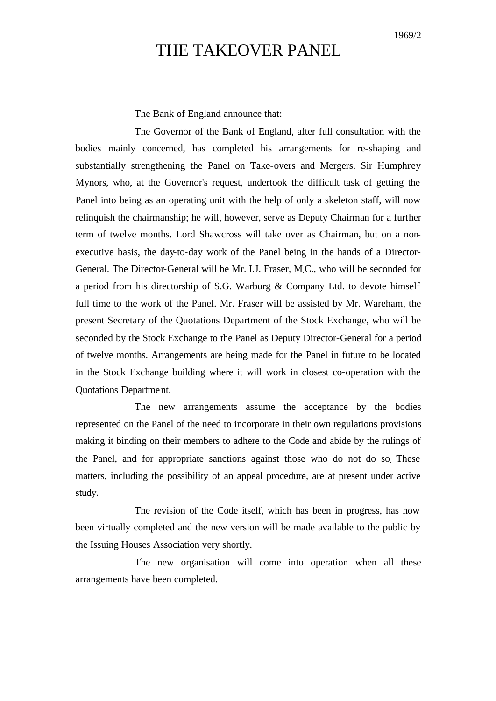## THE TAKEOVER PANEL

The Bank of England announce that:

The Governor of the Bank of England, after full consultation with the bodies mainly concerned, has completed his arrangements for re-shaping and substantially strengthening the Panel on Take-overs and Mergers. Sir Humphrey Mynors, who, at the Governor's request, undertook the difficult task of getting the Panel into being as an operating unit with the help of only a skeleton staff, will now relinquish the chairmanship; he will, however, serve as Deputy Chairman for a further term of twelve months. Lord Shawcross will take over as Chairman, but on a nonexecutive basis, the day-to-day work of the Panel being in the hands of a Director-General. The Director-General will be Mr. I.J. Fraser, M.C., who will be seconded for a period from his directorship of S.G. Warburg & Company Ltd. to devote himself full time to the work of the Panel. Mr. Fraser will be assisted by Mr. Wareham, the present Secretary of the Quotations Department of the Stock Exchange, who will be seconded by the Stock Exchange to the Panel as Deputy Director-General for a period of twelve months. Arrangements are being made for the Panel in future to be located in the Stock Exchange building where it will work in closest co-operation with the Quotations Department.

The new arrangements assume the acceptance by the bodies represented on the Panel of the need to incorporate in their own regulations provisions making it binding on their members to adhere to the Code and abide by the rulings of the Panel, and for appropriate sanctions against those who do not do so. These matters, including the possibility of an appeal procedure, are at present under active study.

The revision of the Code itself, which has been in progress, has now been virtually completed and the new version will be made available to the public by the Issuing Houses Association very shortly.

The new organisation will come into operation when all these arrangements have been completed.